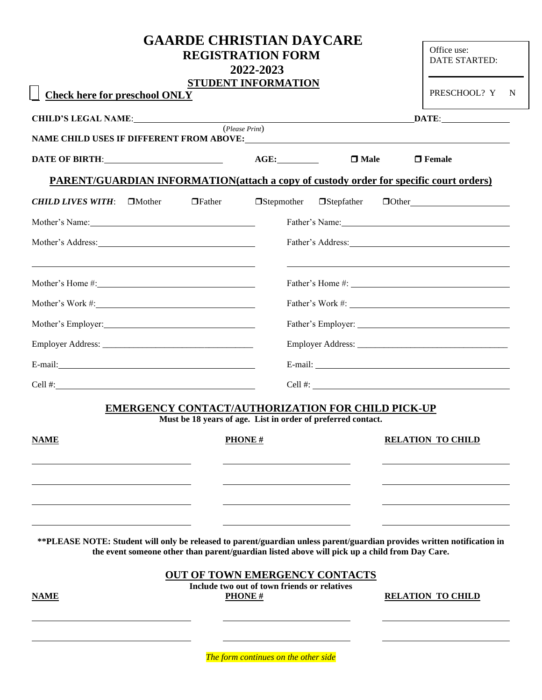| <b>Check here for preschool ONLY</b>                                                                                                                                                                                           | <b>GAARDE CHRISTIAN DAYCARE</b><br><b>REGISTRATION FORM</b><br>2022-2023<br><b>STUDENT INFORMATION</b>                   |                   | Office use:<br>DATE STARTED:<br>PRESCHOOL? Y N |  |
|--------------------------------------------------------------------------------------------------------------------------------------------------------------------------------------------------------------------------------|--------------------------------------------------------------------------------------------------------------------------|-------------------|------------------------------------------------|--|
| <b>CHILD'S LEGAL NAME:</b> ( <i>Please Print</i> )                                                                                                                                                                             |                                                                                                                          |                   |                                                |  |
|                                                                                                                                                                                                                                |                                                                                                                          |                   |                                                |  |
| DATE OF BIRTH: Particular Control of Bill Control of the Control of the Control of the Control of the Control of Tennes of Tennes and Tennes of Tennes and Tennes and Tennes and Tennes and Tennes and Tennes and Tennes and T | AGE:                                                                                                                     | $\square$ Male    | $\Box$ Female                                  |  |
| <b>PARENT/GUARDIAN INFORMATION(attach a copy of custody order for specific court orders)</b>                                                                                                                                   |                                                                                                                          |                   |                                                |  |
| $\Box$ Father<br>CHILD LIVES WITH: □Mother                                                                                                                                                                                     | $\Box$ Stepmother                                                                                                        | $\Box$ Stepfather | $\Box$ Other $\Box$                            |  |
| Mother's Name:                                                                                                                                                                                                                 |                                                                                                                          |                   | Father's Name:                                 |  |
|                                                                                                                                                                                                                                |                                                                                                                          |                   |                                                |  |
|                                                                                                                                                                                                                                |                                                                                                                          |                   |                                                |  |
|                                                                                                                                                                                                                                |                                                                                                                          |                   |                                                |  |
|                                                                                                                                                                                                                                |                                                                                                                          |                   |                                                |  |
|                                                                                                                                                                                                                                |                                                                                                                          |                   |                                                |  |
|                                                                                                                                                                                                                                |                                                                                                                          |                   |                                                |  |
| Cell #: $\qquad \qquad$                                                                                                                                                                                                        |                                                                                                                          |                   |                                                |  |
|                                                                                                                                                                                                                                | <b>EMERGENCY CONTACT/AUTHORIZATION FOR CHILD PICK-UP</b><br>Must be 18 years of age. List in order of preferred contact. |                   |                                                |  |
| <b>NAME</b>                                                                                                                                                                                                                    | <b>PHONE#</b>                                                                                                            |                   | <b>RELATION TO CHILD</b>                       |  |
|                                                                                                                                                                                                                                |                                                                                                                          |                   |                                                |  |
| **PLEASE NOTE: Student will only be released to parent/guardian unless parent/guardian provides written notification in<br>the event someone other than parent/guardian listed above will pick up a child from Day Care.       |                                                                                                                          |                   |                                                |  |
| <b>NAME</b>                                                                                                                                                                                                                    | <b>OUT OF TOWN EMERGENCY CONTACTS</b><br>Include two out of town friends or relatives<br><b>PHONE#</b>                   |                   | <b>RELATION TO CHILD</b>                       |  |
|                                                                                                                                                                                                                                |                                                                                                                          |                   |                                                |  |

L,

*The form continues on the other side*